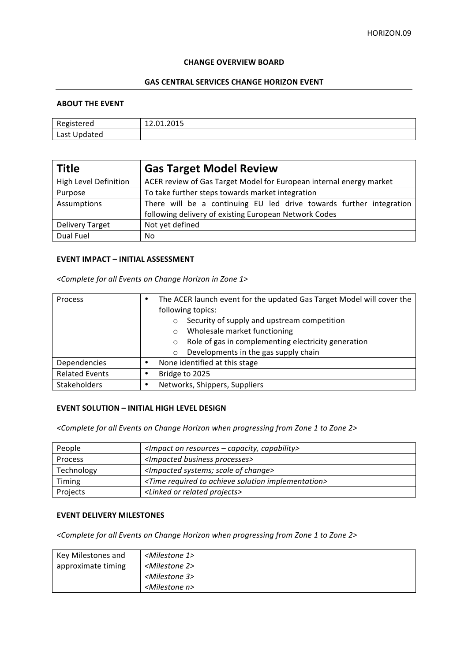#### **CHANGE OVERVIEW BOARD**

## **GAS CENTRAL SERVICES CHANGE HORIZON EVENT**

#### **ABOUT THE EVENT**

| Registered   | 12.01.2015 |
|--------------|------------|
| Last Updated |            |

| <b>Title</b>                 | <b>Gas Target Model Review</b>                                      |
|------------------------------|---------------------------------------------------------------------|
| <b>High Level Definition</b> | ACER review of Gas Target Model for European internal energy market |
| Purpose                      | To take further steps towards market integration                    |
| Assumptions                  | There will be a continuing EU led drive towards further integration |
|                              | following delivery of existing European Network Codes               |
| <b>Delivery Target</b>       | Not yet defined                                                     |
| Dual Fuel                    | No                                                                  |

### **EVENT IMPACT - INITIAL ASSESSMENT**

*<Complete for all Events on Change Horizon in Zone 1>*

| Process               | The ACER launch event for the updated Gas Target Model will cover the |
|-----------------------|-----------------------------------------------------------------------|
|                       | following topics:                                                     |
|                       | Security of supply and upstream competition                           |
|                       | Wholesale market functioning<br>$\circ$                               |
|                       | Role of gas in complementing electricity generation<br>O              |
|                       | Developments in the gas supply chain<br>$\circ$                       |
| Dependencies          | None identified at this stage                                         |
| <b>Related Events</b> | Bridge to 2025                                                        |
| Stakeholders          | Networks, Shippers, Suppliers                                         |

# **EVENT SOLUTION - INITIAL HIGH LEVEL DESIGN**

<Complete for all Events on Change Horizon when progressing from Zone 1 to Zone 2>

| People     | <impact -="" capability="" capacity,="" on="" resources=""></impact>     |
|------------|--------------------------------------------------------------------------|
| Process    | <impacted business="" processes=""></impacted>                           |
| Technology | <impacted change="" of="" scale="" systems;=""></impacted>               |
| Timing     | <time achieve="" implementation="" required="" solution="" to=""></time> |
| Projects   | <linked or="" projects="" related=""></linked>                           |

# **EVENT DELIVERY MILESTONES**

<Complete for all Events on Change Horizon when progressing from Zone 1 to Zone 2>

| Key Milestones and | <milestone 1=""></milestone> |
|--------------------|------------------------------|
| approximate timing | <milestone 2=""></milestone> |
|                    | <milestone 3=""></milestone> |
|                    | <milestone n=""></milestone> |